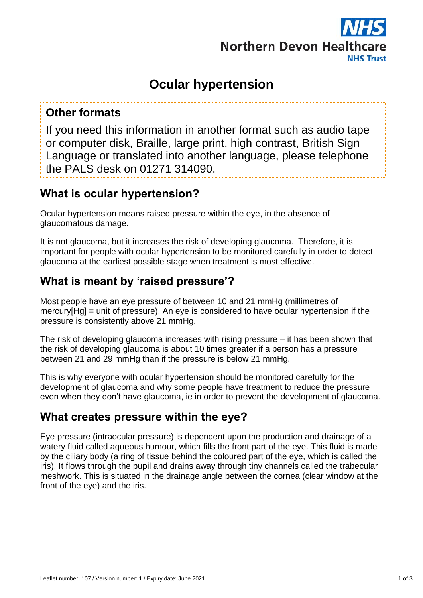

# **Ocular hypertension**

### **Other formats**

If you need this information in another format such as audio tape or computer disk, Braille, large print, high contrast, British Sign Language or translated into another language, please telephone the PALS desk on 01271 314090.

## **What is ocular hypertension?**

Ocular hypertension means raised pressure within the eye, in the absence of glaucomatous damage.

It is not glaucoma, but it increases the risk of developing glaucoma. Therefore, it is important for people with ocular hypertension to be monitored carefully in order to detect glaucoma at the earliest possible stage when treatment is most effective.

### **What is meant by 'raised pressure'?**

Most people have an eye pressure of between 10 and 21 mmHg (millimetres of mercury[Hg] = unit of pressure). An eye is considered to have ocular hypertension if the pressure is consistently above 21 mmHg.

The risk of developing glaucoma increases with rising pressure – it has been shown that the risk of developing glaucoma is about 10 times greater if a person has a pressure between 21 and 29 mmHg than if the pressure is below 21 mmHg.

This is why everyone with ocular hypertension should be monitored carefully for the development of glaucoma and why some people have treatment to reduce the pressure even when they don't have glaucoma, ie in order to prevent the development of glaucoma.

### **What creates pressure within the eye?**

Eye pressure (intraocular pressure) is dependent upon the production and drainage of a watery fluid called aqueous humour, which fills the front part of the eye. This fluid is made by the ciliary body (a ring of tissue behind the coloured part of the eye, which is called the iris). It flows through the pupil and drains away through tiny channels called the trabecular meshwork. This is situated in the drainage angle between the cornea (clear window at the front of the eye) and the iris.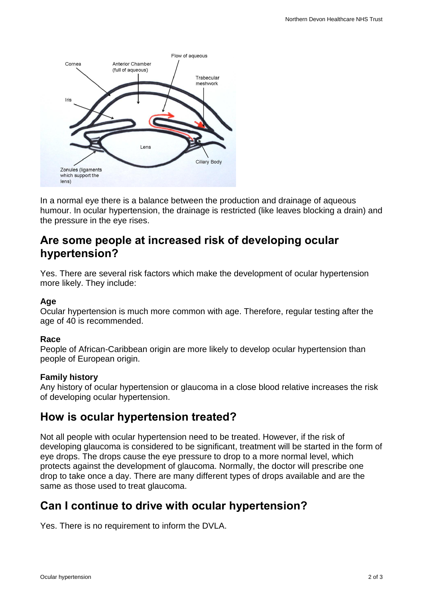

In a normal eye there is a balance between the production and drainage of aqueous humour. In ocular hypertension, the drainage is restricted (like leaves blocking a drain) and the pressure in the eye rises.

### **Are some people at increased risk of developing ocular hypertension?**

Yes. There are several risk factors which make the development of ocular hypertension more likely. They include:

#### **Age**

Ocular hypertension is much more common with age. Therefore, regular testing after the age of 40 is recommended.

#### **Race**

People of African-Caribbean origin are more likely to develop ocular hypertension than people of European origin.

#### **Family history**

Any history of ocular hypertension or glaucoma in a close blood relative increases the risk of developing ocular hypertension.

### **How is ocular hypertension treated?**

Not all people with ocular hypertension need to be treated. However, if the risk of developing glaucoma is considered to be significant, treatment will be started in the form of eye drops. The drops cause the eye pressure to drop to a more normal level, which protects against the development of glaucoma. Normally, the doctor will prescribe one drop to take once a day. There are many different types of drops available and are the same as those used to treat glaucoma.

## **Can I continue to drive with ocular hypertension?**

Yes. There is no requirement to inform the DVLA.